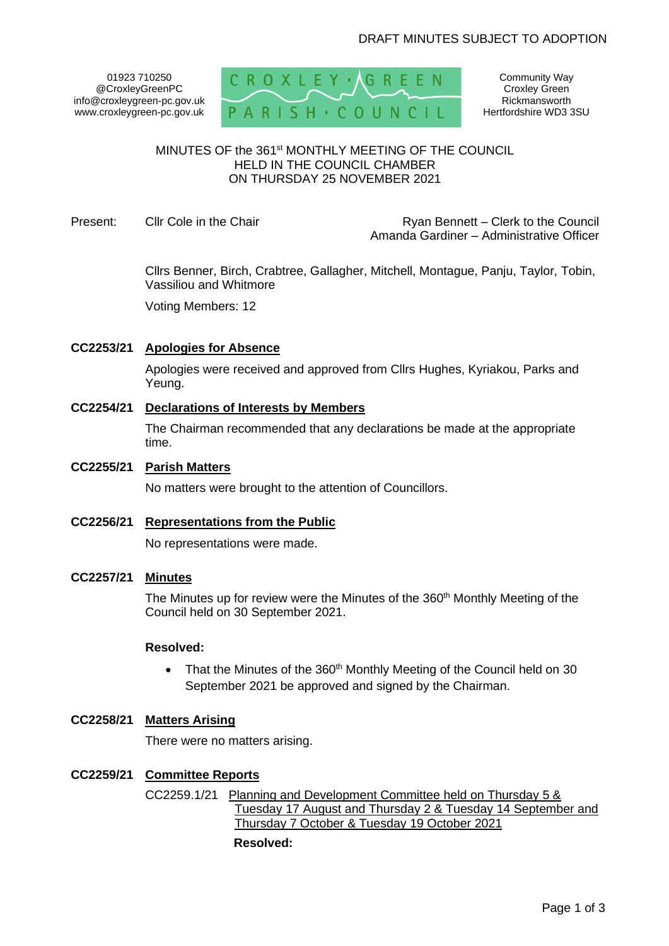01923 710250 @CroxleyGreenPC info@croxleygreen-pc.gov.uk www.croxleygreen-pc.gov.uk



Community Way Croxley Green Rickmansworth Hertfordshire WD3 3SU

### MINUTES OF the 361<sup>st</sup> MONTHLY MEETING OF THE COUNCIL HELD IN THE COUNCIL CHAMBER ON THURSDAY 25 NOVEMBER 2021

Present: Cllr Cole in the Chair **Ryan Bennett** – Clerk to the Council Amanda Gardiner – Administrative Officer

> Cllrs Benner, Birch, Crabtree, Gallagher, Mitchell, Montague, Panju, Taylor, Tobin, Vassiliou and Whitmore

Voting Members: 12

# **CC2253/21 Apologies for Absence**

Apologies were received and approved from Cllrs Hughes, Kyriakou, Parks and Yeung.

**CC2254/21 Declarations of Interests by Members**

The Chairman recommended that any declarations be made at the appropriate time.

# **CC2255/21 Parish Matters**

No matters were brought to the attention of Councillors.

**CC2256/21 Representations from the Public**

No representations were made.

### **CC2257/21 Minutes**

The Minutes up for review were the Minutes of the 360<sup>th</sup> Monthly Meeting of the Council held on 30 September 2021.

### **Resolved:**

• That the Minutes of the 360<sup>th</sup> Monthly Meeting of the Council held on 30 September 2021 be approved and signed by the Chairman.

# **CC2258/21 Matters Arising**

There were no matters arising.

### **CC2259/21 Committee Reports**

CC2259.1/21 Planning and Development Committee held on Thursday 5 & Tuesday 17 August and Thursday 2 & Tuesday 14 September and Thursday 7 October & Tuesday 19 October 2021

#### **Resolved:**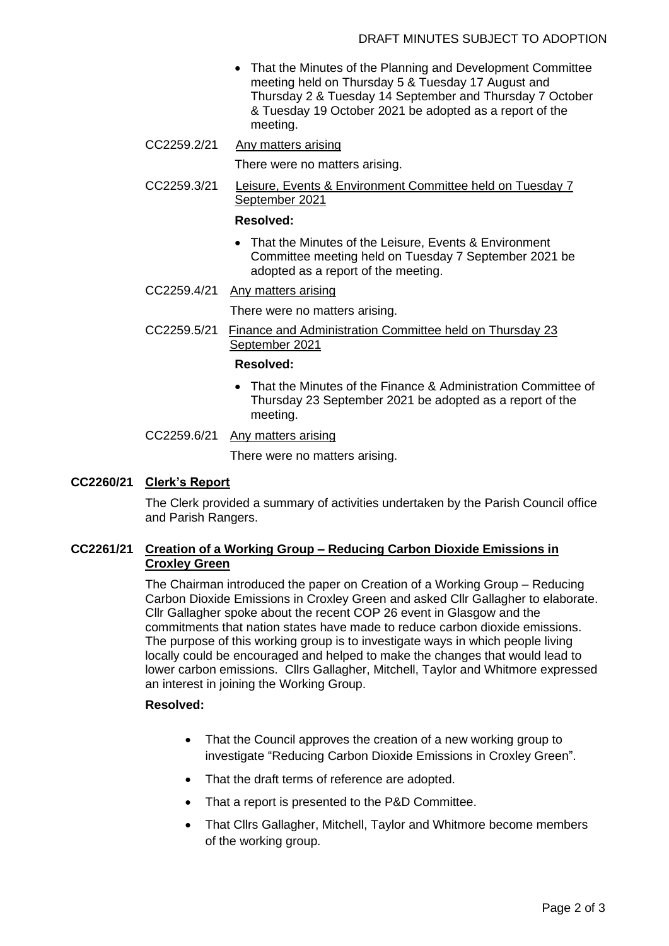- That the Minutes of the Planning and Development Committee meeting held on Thursday 5 & Tuesday 17 August and Thursday 2 & Tuesday 14 September and Thursday 7 October & Tuesday 19 October 2021 be adopted as a report of the meeting.
- CC2259.2/21 Any matters arising

There were no matters arising.

CC2259.3/21 Leisure, Events & Environment Committee held on Tuesday 7 September 2021

### **Resolved:**

- That the Minutes of the Leisure, Events & Environment Committee meeting held on Tuesday 7 September 2021 be adopted as a report of the meeting.
- CC2259.4/21 Any matters arising

There were no matters arising.

CC2259.5/21 Finance and Administration Committee held on Thursday 23 September 2021

### **Resolved:**

- That the Minutes of the Finance & Administration Committee of Thursday 23 September 2021 be adopted as a report of the meeting.
- CC2259.6/21 Any matters arising

There were no matters arising.

# **CC2260/21 Clerk's Report**

The Clerk provided a summary of activities undertaken by the Parish Council office and Parish Rangers.

## **CC2261/21 Creation of a Working Group – Reducing Carbon Dioxide Emissions in Croxley Green**

The Chairman introduced the paper on Creation of a Working Group – Reducing Carbon Dioxide Emissions in Croxley Green and asked Cllr Gallagher to elaborate. Cllr Gallagher spoke about the recent COP 26 event in Glasgow and the commitments that nation states have made to reduce carbon dioxide emissions. The purpose of this working group is to investigate ways in which people living locally could be encouraged and helped to make the changes that would lead to lower carbon emissions. Cllrs Gallagher, Mitchell, Taylor and Whitmore expressed an interest in joining the Working Group.

## **Resolved:**

- That the Council approves the creation of a new working group to investigate "Reducing Carbon Dioxide Emissions in Croxley Green".
- That the draft terms of reference are adopted.
- That a report is presented to the P&D Committee.
- That Cllrs Gallagher, Mitchell, Taylor and Whitmore become members of the working group.